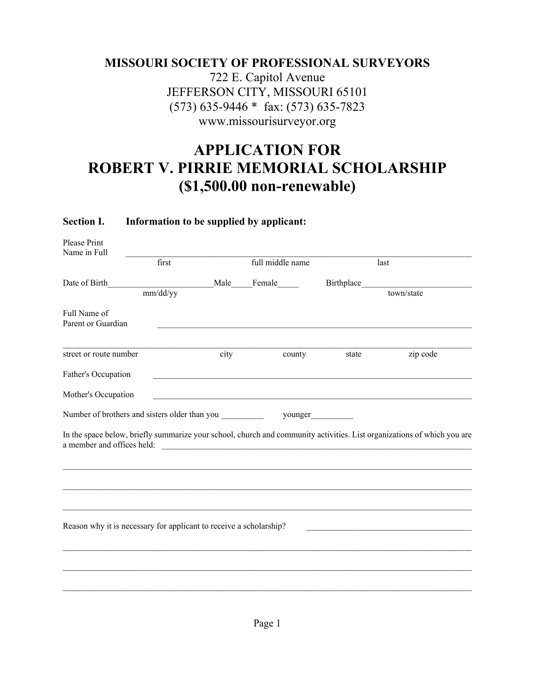### **MISSOURI SOCIETY OF PROFESSIONAL SURVEYORS**

722 E. Capitol Avenue JEFFERSON CITY, MISSOURI 65101 (573) 635-9446 \* fax: (573) 635-7823 www.missourisurveyor.org

## **APPLICATION FOR ROBERT V. PIRRIE MEMORIAL SCHOLARSHIP (\$1,500.00 non-renewable)**

#### **Section I. Information to be supplied by applicant:**

| Please Print<br>Name in Full                                                                                                                                    |          |      |                  |                   |                                                                                                                         |  |
|-----------------------------------------------------------------------------------------------------------------------------------------------------------------|----------|------|------------------|-------------------|-------------------------------------------------------------------------------------------------------------------------|--|
|                                                                                                                                                                 | first    |      | full middle name |                   | last                                                                                                                    |  |
| Date of Birth                                                                                                                                                   | mm/dd/yy | Male | Female           | <b>Birthplace</b> | town/state                                                                                                              |  |
| Full Name of<br>Parent or Guardian                                                                                                                              |          |      |                  |                   |                                                                                                                         |  |
| street or route number                                                                                                                                          |          | city | county           | state             | zip code                                                                                                                |  |
| Father's Occupation                                                                                                                                             |          |      |                  |                   |                                                                                                                         |  |
| Mother's Occupation                                                                                                                                             |          |      |                  |                   |                                                                                                                         |  |
| Number of brothers and sisters older than you                                                                                                                   |          |      | younger          |                   |                                                                                                                         |  |
| a member and offices held:                                                                                                                                      |          |      |                  |                   | In the space below, briefly summarize your school, church and community activities. List organizations of which you are |  |
|                                                                                                                                                                 |          |      |                  |                   |                                                                                                                         |  |
| Reason why it is necessary for applicant to receive a scholarship?<br>the control of the control of the control of the control of the control of the control of |          |      |                  |                   |                                                                                                                         |  |
|                                                                                                                                                                 |          |      |                  |                   |                                                                                                                         |  |
|                                                                                                                                                                 |          |      |                  |                   |                                                                                                                         |  |
|                                                                                                                                                                 |          |      |                  |                   |                                                                                                                         |  |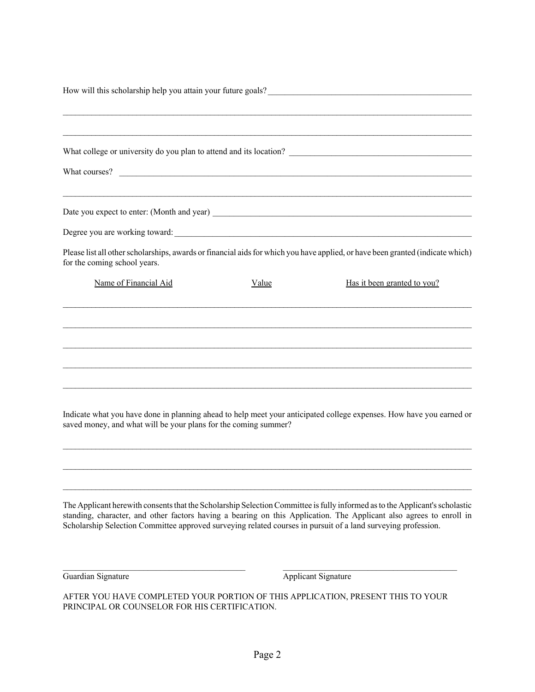| How will this scholarship help you attain your future goals?<br>The manufacturer of the scholarship help you attain your future goals?<br>The manufacturer of the scholarship help you attain your future goals?              |  |  |  |  |  |
|-------------------------------------------------------------------------------------------------------------------------------------------------------------------------------------------------------------------------------|--|--|--|--|--|
|                                                                                                                                                                                                                               |  |  |  |  |  |
|                                                                                                                                                                                                                               |  |  |  |  |  |
|                                                                                                                                                                                                                               |  |  |  |  |  |
| the control of the control of the control of the control of the control of the control of the control of the control of the control of the control of the control of the control of the control of the control of the control |  |  |  |  |  |
|                                                                                                                                                                                                                               |  |  |  |  |  |
| Please list all other scholarships, awards or financial aids for which you have applied, or have been granted (indicate which)<br>for the coming school years.                                                                |  |  |  |  |  |
| Name of Financial Aid<br>Has it been granted to you?<br>Value                                                                                                                                                                 |  |  |  |  |  |
|                                                                                                                                                                                                                               |  |  |  |  |  |
|                                                                                                                                                                                                                               |  |  |  |  |  |
|                                                                                                                                                                                                                               |  |  |  |  |  |
|                                                                                                                                                                                                                               |  |  |  |  |  |
| Indicate what you have done in planning ahead to help meet your anticipated college expenses. How have you earned or<br>saved money, and what will be your plans for the coming summer?                                       |  |  |  |  |  |
|                                                                                                                                                                                                                               |  |  |  |  |  |
|                                                                                                                                                                                                                               |  |  |  |  |  |

The Applicant herewith consents that the Scholarship Selection Committee is fully informed as to the Applicant's scholastic standing, character, and other factors having a bearing on this Application. The Applicant also agrees to enroll in Scholarship Selection Committee approved surveying related courses in pursuit of a land surveying profession.

Guardian Signature **Applicant Signature** Applicant Signature

AFTER YOU HAVE COMPLETED YOUR PORTION OF THIS APPLICATION, PRESENT THIS TO YOUR PRINCIPAL OR COUNSELOR FOR HIS CERTIFICATION.

 $\mathcal{L}_\text{max}$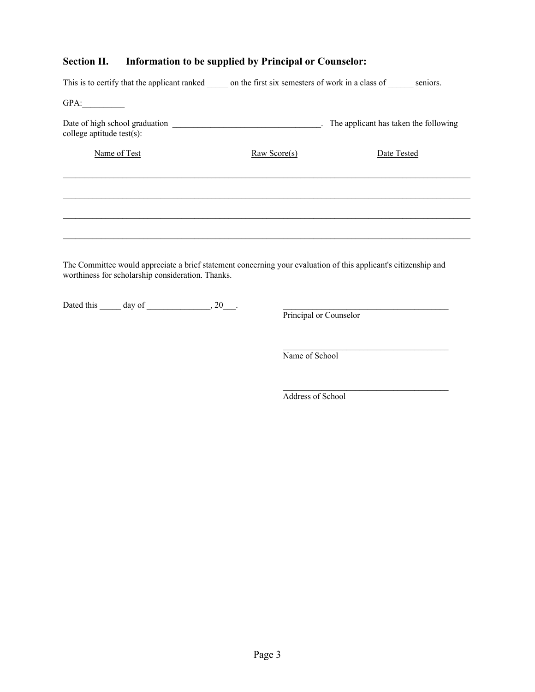### **Section II. Information to be supplied by Principal or Counselor:**

| This is to certify that the applicant ranked on the first six semesters of work in a class of seniors.                                                               |                          |             |  |  |
|----------------------------------------------------------------------------------------------------------------------------------------------------------------------|--------------------------|-------------|--|--|
| GPA:                                                                                                                                                                 |                          |             |  |  |
| college aptitude test(s):                                                                                                                                            |                          |             |  |  |
| Name of Test                                                                                                                                                         | $\frac{Raw Score(s)}{s}$ | Date Tested |  |  |
|                                                                                                                                                                      |                          |             |  |  |
|                                                                                                                                                                      |                          |             |  |  |
|                                                                                                                                                                      |                          |             |  |  |
|                                                                                                                                                                      |                          |             |  |  |
|                                                                                                                                                                      |                          |             |  |  |
| The Committee would appreciate a brief statement concerning your evaluation of this applicant's citizenship and<br>worthiness for scholarship consideration. Thanks. |                          |             |  |  |

Dated this  $\_\_\_\_\$  day of  $\_\_\_\_\_\_\$ , 20 $\_\_\_\$ .

Principal or Counselor

Name of School

Address of School